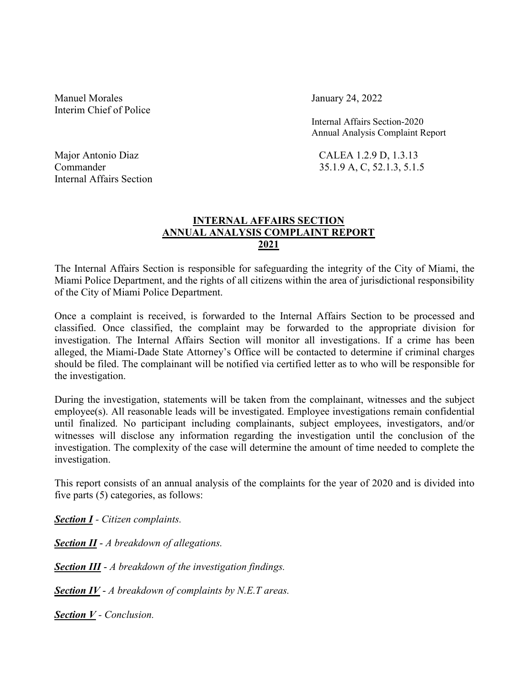Manuel Morales **January 24, 2022** Interim Chief of Police

 Internal Affairs Section-2020 Annual Analysis Complaint Report

Major Antonio Diaz CALEA 1.2.9 D, 1.3.13 Commander 35.1.9 A, C, 52.1.3, 5.1.5

Internal Affairs Section

## INTERNAL AFFAIRS SECTION ANNUAL ANALYSIS COMPLAINT REPORT 2021

The Internal Affairs Section is responsible for safeguarding the integrity of the City of Miami, the Miami Police Department, and the rights of all citizens within the area of jurisdictional responsibility of the City of Miami Police Department.

Once a complaint is received, is forwarded to the Internal Affairs Section to be processed and classified. Once classified, the complaint may be forwarded to the appropriate division for investigation. The Internal Affairs Section will monitor all investigations. If a crime has been alleged, the Miami-Dade State Attorney's Office will be contacted to determine if criminal charges should be filed. The complainant will be notified via certified letter as to who will be responsible for the investigation.

During the investigation, statements will be taken from the complainant, witnesses and the subject employee(s). All reasonable leads will be investigated. Employee investigations remain confidential until finalized. No participant including complainants, subject employees, investigators, and/or witnesses will disclose any information regarding the investigation until the conclusion of the investigation. The complexity of the case will determine the amount of time needed to complete the investigation.

This report consists of an annual analysis of the complaints for the year of 2020 and is divided into five parts (5) categories, as follows:

Section I - Citizen complaints.

Section II - A breakdown of allegations.

Section III - A breakdown of the investigation findings.

**Section IV -** A breakdown of complaints by N.E.T areas.

Section V - Conclusion.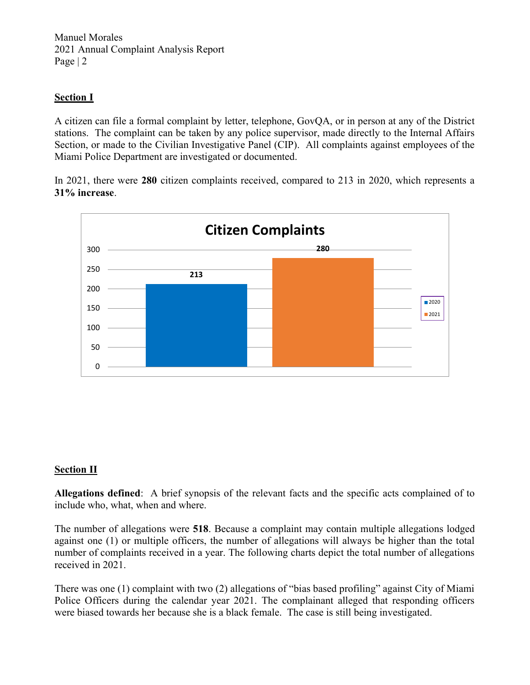Manuel Morales 2021 Annual Complaint Analysis Report Page | 2

## Section I

A citizen can file a formal complaint by letter, telephone, GovQA, or in person at any of the District stations. The complaint can be taken by any police supervisor, made directly to the Internal Affairs Section, or made to the Civilian Investigative Panel (CIP). All complaints against employees of the Miami Police Department are investigated or documented.

In 2021, there were 280 citizen complaints received, compared to 213 in 2020, which represents a 31% increase.



#### **Section II**

Allegations defined: A brief synopsis of the relevant facts and the specific acts complained of to include who, what, when and where.

The number of allegations were 518. Because a complaint may contain multiple allegations lodged against one (1) or multiple officers, the number of allegations will always be higher than the total number of complaints received in a year. The following charts depict the total number of allegations received in 2021.

There was one (1) complaint with two (2) allegations of "bias based profiling" against City of Miami Police Officers during the calendar year 2021. The complainant alleged that responding officers were biased towards her because she is a black female. The case is still being investigated.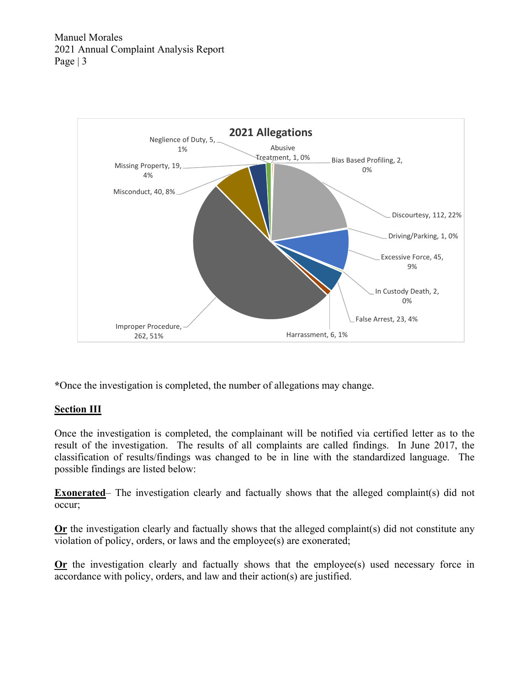

\*Once the investigation is completed, the number of allegations may change.

## Section III

Once the investigation is completed, the complainant will be notified via certified letter as to the result of the investigation. The results of all complaints are called findings. In June 2017, the classification of results/findings was changed to be in line with the standardized language. The possible findings are listed below:

**Exonerated**– The investigation clearly and factually shows that the alleged complaint(s) did not occur;

Or the investigation clearly and factually shows that the alleged complaint(s) did not constitute any violation of policy, orders, or laws and the employee(s) are exonerated;

Or the investigation clearly and factually shows that the employee(s) used necessary force in accordance with policy, orders, and law and their action(s) are justified.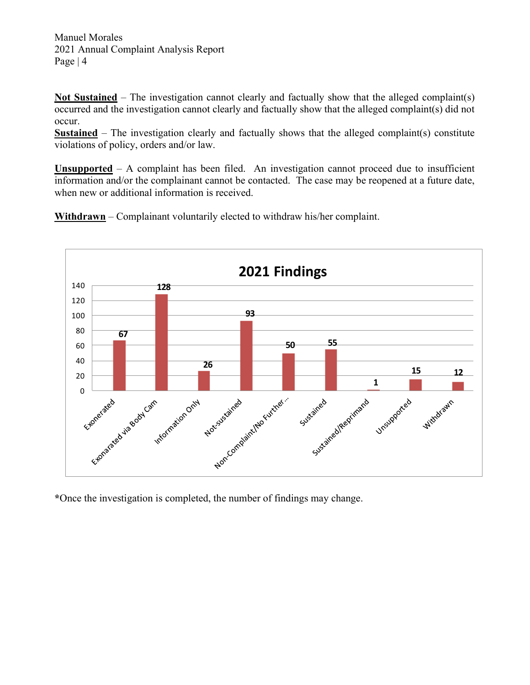Manuel Morales 2021 Annual Complaint Analysis Report Page | 4

Not Sustained – The investigation cannot clearly and factually show that the alleged complaint(s) occurred and the investigation cannot clearly and factually show that the alleged complaint(s) did not occur.

**Sustained** – The investigation clearly and factually shows that the alleged complaint(s) constitute violations of policy, orders and/or law.

Unsupported – A complaint has been filed. An investigation cannot proceed due to insufficient information and/or the complainant cannot be contacted. The case may be reopened at a future date, when new or additional information is received.

Withdrawn – Complainant voluntarily elected to withdraw his/her complaint.



\*Once the investigation is completed, the number of findings may change.